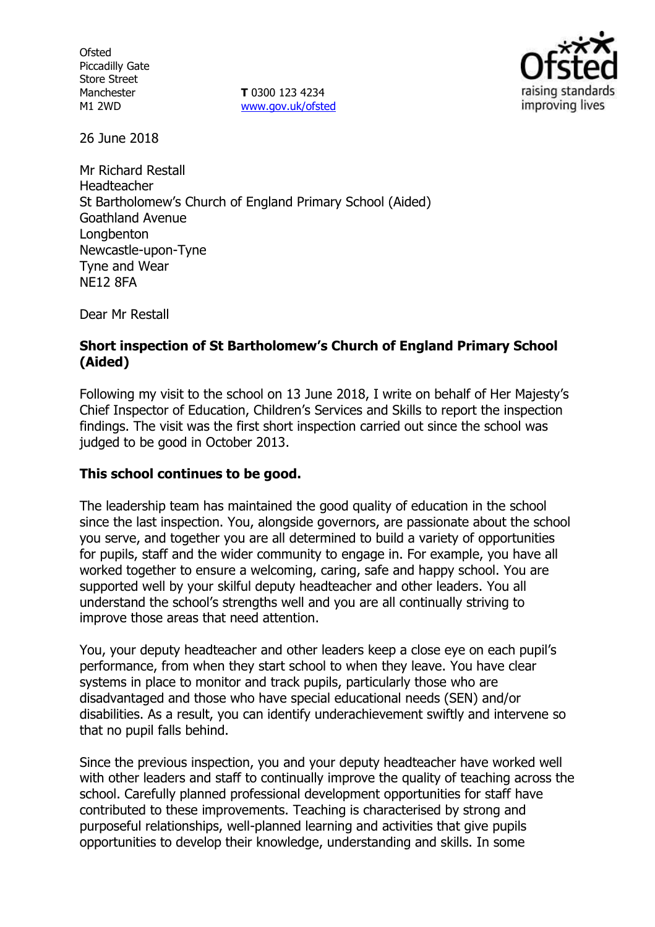**Ofsted** Piccadilly Gate Store Street Manchester M1 2WD

**T** 0300 123 4234 www.gov.uk/ofsted



26 June 2018

Mr Richard Restall Headteacher St Bartholomew's Church of England Primary School (Aided) Goathland Avenue Longbenton Newcastle-upon-Tyne Tyne and Wear NE12 8FA

Dear Mr Restall

### **Short inspection of St Bartholomew's Church of England Primary School (Aided)**

Following my visit to the school on 13 June 2018, I write on behalf of Her Majesty's Chief Inspector of Education, Children's Services and Skills to report the inspection findings. The visit was the first short inspection carried out since the school was judged to be good in October 2013.

# **This school continues to be good.**

The leadership team has maintained the good quality of education in the school since the last inspection. You, alongside governors, are passionate about the school you serve, and together you are all determined to build a variety of opportunities for pupils, staff and the wider community to engage in. For example, you have all worked together to ensure a welcoming, caring, safe and happy school. You are supported well by your skilful deputy headteacher and other leaders. You all understand the school's strengths well and you are all continually striving to improve those areas that need attention.

You, your deputy headteacher and other leaders keep a close eye on each pupil's performance, from when they start school to when they leave. You have clear systems in place to monitor and track pupils, particularly those who are disadvantaged and those who have special educational needs (SEN) and/or disabilities. As a result, you can identify underachievement swiftly and intervene so that no pupil falls behind.

Since the previous inspection, you and your deputy headteacher have worked well with other leaders and staff to continually improve the quality of teaching across the school. Carefully planned professional development opportunities for staff have contributed to these improvements. Teaching is characterised by strong and purposeful relationships, well-planned learning and activities that give pupils opportunities to develop their knowledge, understanding and skills. In some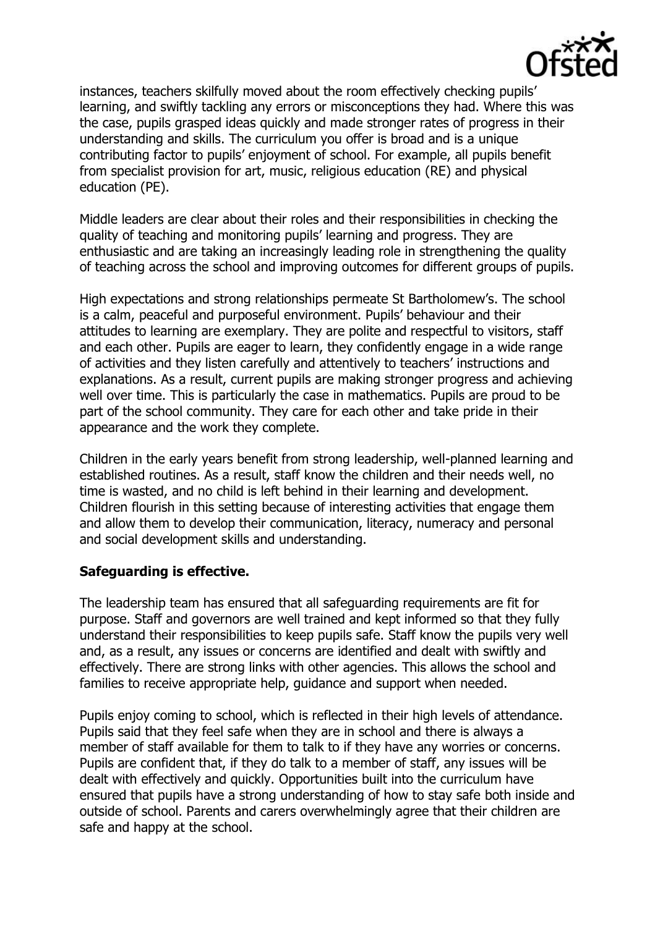

instances, teachers skilfully moved about the room effectively checking pupils' learning, and swiftly tackling any errors or misconceptions they had. Where this was the case, pupils grasped ideas quickly and made stronger rates of progress in their understanding and skills. The curriculum you offer is broad and is a unique contributing factor to pupils' enjoyment of school. For example, all pupils benefit from specialist provision for art, music, religious education (RE) and physical education (PE).

Middle leaders are clear about their roles and their responsibilities in checking the quality of teaching and monitoring pupils' learning and progress. They are enthusiastic and are taking an increasingly leading role in strengthening the quality of teaching across the school and improving outcomes for different groups of pupils.

High expectations and strong relationships permeate St Bartholomew's. The school is a calm, peaceful and purposeful environment. Pupils' behaviour and their attitudes to learning are exemplary. They are polite and respectful to visitors, staff and each other. Pupils are eager to learn, they confidently engage in a wide range of activities and they listen carefully and attentively to teachers' instructions and explanations. As a result, current pupils are making stronger progress and achieving well over time. This is particularly the case in mathematics. Pupils are proud to be part of the school community. They care for each other and take pride in their appearance and the work they complete.

Children in the early years benefit from strong leadership, well-planned learning and established routines. As a result, staff know the children and their needs well, no time is wasted, and no child is left behind in their learning and development. Children flourish in this setting because of interesting activities that engage them and allow them to develop their communication, literacy, numeracy and personal and social development skills and understanding.

#### **Safeguarding is effective.**

The leadership team has ensured that all safeguarding requirements are fit for purpose. Staff and governors are well trained and kept informed so that they fully understand their responsibilities to keep pupils safe. Staff know the pupils very well and, as a result, any issues or concerns are identified and dealt with swiftly and effectively. There are strong links with other agencies. This allows the school and families to receive appropriate help, guidance and support when needed.

Pupils enjoy coming to school, which is reflected in their high levels of attendance. Pupils said that they feel safe when they are in school and there is always a member of staff available for them to talk to if they have any worries or concerns. Pupils are confident that, if they do talk to a member of staff, any issues will be dealt with effectively and quickly. Opportunities built into the curriculum have ensured that pupils have a strong understanding of how to stay safe both inside and outside of school. Parents and carers overwhelmingly agree that their children are safe and happy at the school.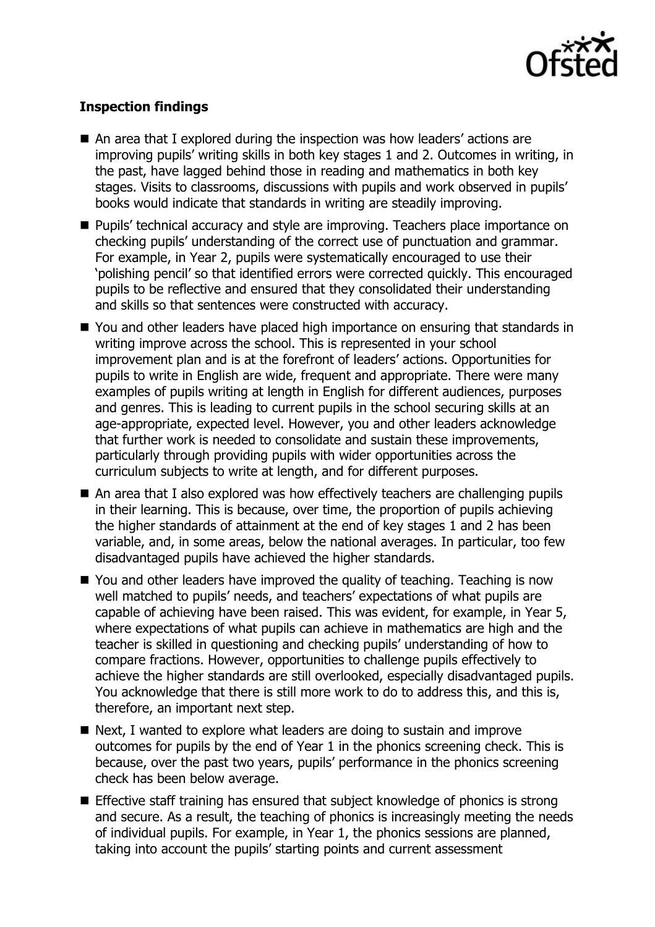

# **Inspection findings**

- An area that I explored during the inspection was how leaders' actions are improving pupils' writing skills in both key stages 1 and 2. Outcomes in writing, in the past, have lagged behind those in reading and mathematics in both key stages. Visits to classrooms, discussions with pupils and work observed in pupils' books would indicate that standards in writing are steadily improving.
- **Pupils' technical accuracy and style are improving. Teachers place importance on** checking pupils' understanding of the correct use of punctuation and grammar. For example, in Year 2, pupils were systematically encouraged to use their 'polishing pencil' so that identified errors were corrected quickly. This encouraged pupils to be reflective and ensured that they consolidated their understanding and skills so that sentences were constructed with accuracy.
- You and other leaders have placed high importance on ensuring that standards in writing improve across the school. This is represented in your school improvement plan and is at the forefront of leaders' actions. Opportunities for pupils to write in English are wide, frequent and appropriate. There were many examples of pupils writing at length in English for different audiences, purposes and genres. This is leading to current pupils in the school securing skills at an age-appropriate, expected level. However, you and other leaders acknowledge that further work is needed to consolidate and sustain these improvements, particularly through providing pupils with wider opportunities across the curriculum subjects to write at length, and for different purposes.
- An area that I also explored was how effectively teachers are challenging pupils in their learning. This is because, over time, the proportion of pupils achieving the higher standards of attainment at the end of key stages 1 and 2 has been variable, and, in some areas, below the national averages. In particular, too few disadvantaged pupils have achieved the higher standards.
- You and other leaders have improved the quality of teaching. Teaching is now well matched to pupils' needs, and teachers' expectations of what pupils are capable of achieving have been raised. This was evident, for example, in Year 5, where expectations of what pupils can achieve in mathematics are high and the teacher is skilled in questioning and checking pupils' understanding of how to compare fractions. However, opportunities to challenge pupils effectively to achieve the higher standards are still overlooked, especially disadvantaged pupils. You acknowledge that there is still more work to do to address this, and this is, therefore, an important next step.
- Next, I wanted to explore what leaders are doing to sustain and improve outcomes for pupils by the end of Year 1 in the phonics screening check. This is because, over the past two years, pupils' performance in the phonics screening check has been below average.
- **Effective staff training has ensured that subject knowledge of phonics is strong** and secure. As a result, the teaching of phonics is increasingly meeting the needs of individual pupils. For example, in Year 1, the phonics sessions are planned, taking into account the pupils' starting points and current assessment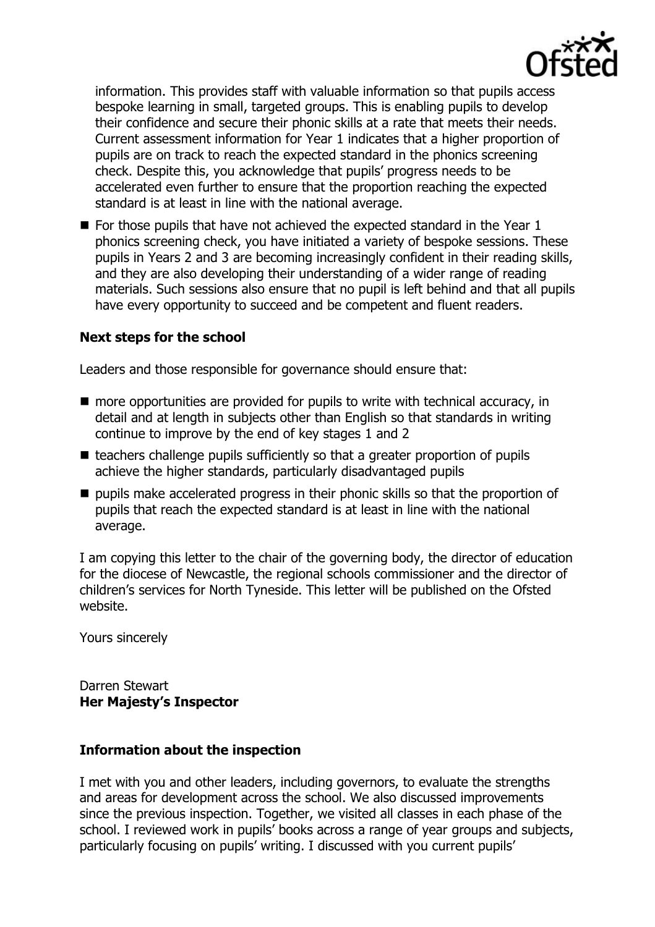

information. This provides staff with valuable information so that pupils access bespoke learning in small, targeted groups. This is enabling pupils to develop their confidence and secure their phonic skills at a rate that meets their needs. Current assessment information for Year 1 indicates that a higher proportion of pupils are on track to reach the expected standard in the phonics screening check. Despite this, you acknowledge that pupils' progress needs to be accelerated even further to ensure that the proportion reaching the expected standard is at least in line with the national average.

 $\blacksquare$  For those pupils that have not achieved the expected standard in the Year 1 phonics screening check, you have initiated a variety of bespoke sessions. These pupils in Years 2 and 3 are becoming increasingly confident in their reading skills, and they are also developing their understanding of a wider range of reading materials. Such sessions also ensure that no pupil is left behind and that all pupils have every opportunity to succeed and be competent and fluent readers.

### **Next steps for the school**

Leaders and those responsible for governance should ensure that:

- $\blacksquare$  more opportunities are provided for pupils to write with technical accuracy, in detail and at length in subjects other than English so that standards in writing continue to improve by the end of key stages 1 and 2
- $\blacksquare$  teachers challenge pupils sufficiently so that a greater proportion of pupils achieve the higher standards, particularly disadvantaged pupils
- pupils make accelerated progress in their phonic skills so that the proportion of pupils that reach the expected standard is at least in line with the national average.

I am copying this letter to the chair of the governing body, the director of education for the diocese of Newcastle, the regional schools commissioner and the director of children's services for North Tyneside. This letter will be published on the Ofsted website.

Yours sincerely

Darren Stewart **Her Majesty's Inspector**

#### **Information about the inspection**

I met with you and other leaders, including governors, to evaluate the strengths and areas for development across the school. We also discussed improvements since the previous inspection. Together, we visited all classes in each phase of the school. I reviewed work in pupils' books across a range of year groups and subjects, particularly focusing on pupils' writing. I discussed with you current pupils'